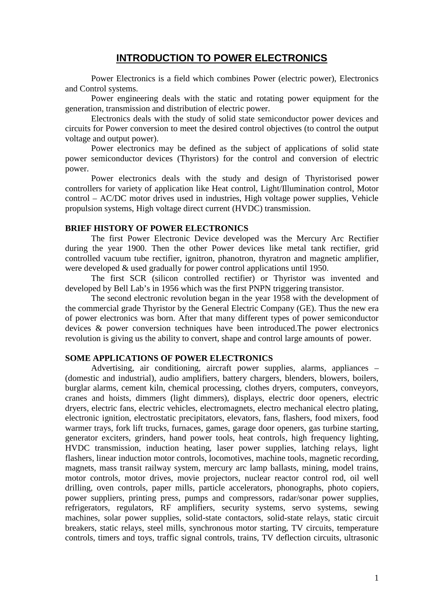# **INTRODUCTION TO POWER ELECTRONICS**

Power Electronics is a field which combines Power (electric power), Electronics and Control systems.

Power engineering deals with the static and rotating power equipment for the generation, transmission and distribution of electric power.

Electronics deals with the study of solid state semiconductor power devices and circuits for Power conversion to meet the desired control objectives (to control the output voltage and output power).

Power electronics may be defined as the subject of applications of solid state power semiconductor devices (Thyristors) for the control and conversion of electric power.

Power electronics deals with the study and design of Thyristorised power controllers for variety of application like Heat control, Light/Illumination control, Motor control – AC/DC motor drives used in industries, High voltage power supplies, Vehicle propulsion systems, High voltage direct current (HVDC) transmission.

#### **BRIEF HISTORY OF POWER ELECTRONICS**

The first Power Electronic Device developed was the Mercury Arc Rectifier during the year 1900. Then the other Power devices like metal tank rectifier, grid controlled vacuum tube rectifier, ignitron, phanotron, thyratron and magnetic amplifier, were developed & used gradually for power control applications until 1950.

The first SCR (silicon controlled rectifier) or Thyristor was invented and developed by Bell Lab's in 1956 which was the first PNPN triggering transistor.

The second electronic revolution began in the year 1958 with the development of the commercial grade Thyristor by the General Electric Company (GE). Thus the new era of power electronics was born. After that many different types of power semiconductor devices & power conversion techniques have been introduced.The power electronics revolution is giving us the ability to convert, shape and control large amounts of power.

#### **SOME APPLICATIONS OF POWER ELECTRONICS**

Advertising, air conditioning, aircraft power supplies, alarms, appliances – (domestic and industrial), audio amplifiers, battery chargers, blenders, blowers, boilers, burglar alarms, cement kiln, chemical processing, clothes dryers, computers, conveyors, cranes and hoists, dimmers (light dimmers), displays, electric door openers, electric dryers, electric fans, electric vehicles, electromagnets, electro mechanical electro plating, electronic ignition, electrostatic precipitators, elevators, fans, flashers, food mixers, food warmer trays, fork lift trucks, furnaces, games, garage door openers, gas turbine starting, generator exciters, grinders, hand power tools, heat controls, high frequency lighting, HVDC transmission, induction heating, laser power supplies, latching relays, light flashers, linear induction motor controls, locomotives, machine tools, magnetic recording, magnets, mass transit railway system, mercury arc lamp ballasts, mining, model trains, motor controls, motor drives, movie projectors, nuclear reactor control rod, oil well drilling, oven controls, paper mills, particle accelerators, phonographs, photo copiers, power suppliers, printing press, pumps and compressors, radar/sonar power supplies, refrigerators, regulators, RF amplifiers, security systems, servo systems, sewing machines, solar power supplies, solid-state contactors, solid-state relays, static circuit breakers, static relays, steel mills, synchronous motor starting, TV circuits, temperature controls, timers and toys, traffic signal controls, trains, TV deflection circuits, ultrasonic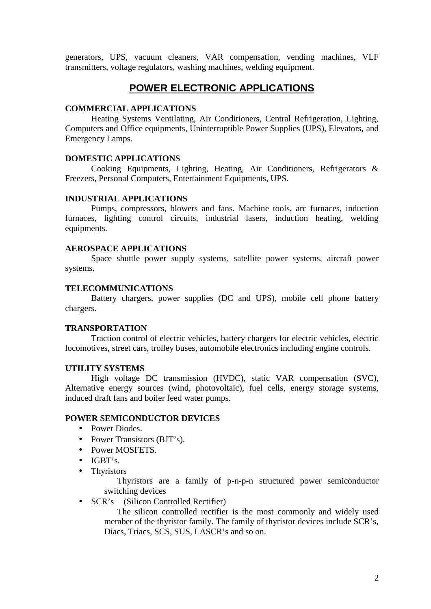generators, UPS, vacuum cleaners, VAR compensation, vending machines, VLF transmitters, voltage regulators, washing machines, welding equipment.

# **POWER ELECTRONIC APPLICATIONS**

#### **COMMERCIAL APPLICATIONS**

Heating Systems Ventilating, Air Conditioners, Central Refrigeration, Lighting, Computers and Office equipments, Uninterruptible Power Supplies (UPS), Elevators, and Emergency Lamps.

#### **DOMESTIC APPLICATIONS**

Cooking Equipments, Lighting, Heating, Air Conditioners, Refrigerators & Freezers, Personal Computers, Entertainment Equipments, UPS.

#### **INDUSTRIAL APPLICATIONS**

Pumps, compressors, blowers and fans. Machine tools, arc furnaces, induction furnaces, lighting control circuits, industrial lasers, induction heating, welding equipments.

#### **AEROSPACE APPLICATIONS**

Space shuttle power supply systems, satellite power systems, aircraft power systems.

#### **TELECOMMUNICATIONS**

Battery chargers, power supplies (DC and UPS), mobile cell phone battery chargers.

### **TRANSPORTATION**

Traction control of electric vehicles, battery chargers for electric vehicles, electric locomotives, street cars, trolley buses, automobile electronics including engine controls.

### **UTILITY SYSTEMS**

High voltage DC transmission (HVDC), static VAR compensation (SVC), Alternative energy sources (wind, photovoltaic), fuel cells, energy storage systems, induced draft fans and boiler feed water pumps.

### **POWER SEMICONDUCTOR DEVICES**

- Power Diodes.
- Power Transistors (BJT's).
- Power MOSFETS.
- $\bullet$  IGBT's.
- Thyristors

Thyristors are a family of p-n-p-n structured power semiconductor switching devices

• SCR's (Silicon Controlled Rectifier)

The silicon controlled rectifier is the most commonly and widely used member of the thyristor family. The family of thyristor devices include SCR's, Diacs, Triacs, SCS, SUS, LASCR's and so on.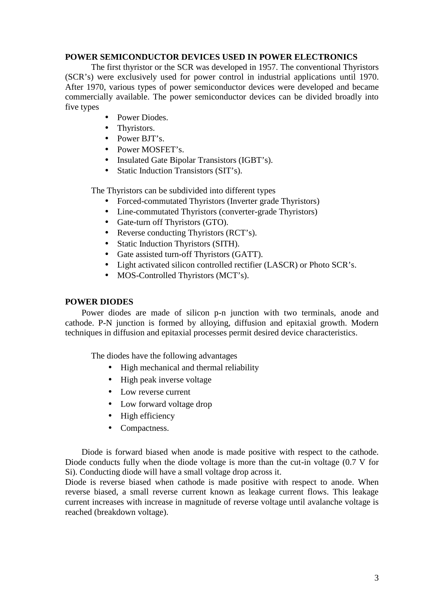# **POWER SEMICONDUCTOR DEVICES USED IN POWER ELECTRONICS**

The first thyristor or the SCR was developed in 1957. The conventional Thyristors (SCR's) were exclusively used for power control in industrial applications until 1970. After 1970, various types of power semiconductor devices were developed and became commercially available. The power semiconductor devices can be divided broadly into five types

- Power Diodes.
- Thyristors.
- Power BJT's.
- Power MOSFET's
- Insulated Gate Bipolar Transistors (IGBT's).
- Static Induction Transistors (SIT's).

The Thyristors can be subdivided into different types

- Forced-commutated Thyristors (Inverter grade Thyristors)
- Line-commutated Thyristors (converter-grade Thyristors)
- Gate-turn off Thyristors (GTO).
- Reverse conducting Thyristors (RCT's).
- Static Induction Thyristors (SITH).
- Gate assisted turn-off Thyristors (GATT).
- Light activated silicon controlled rectifier (LASCR) or Photo SCR's.
- MOS-Controlled Thyristors (MCT's).

#### **POWER DIODES**

Power diodes are made of silicon p-n junction with two terminals, anode and cathode. P-N junction is formed by alloying, diffusion and epitaxial growth. Modern techniques in diffusion and epitaxial processes permit desired device characteristics.

The diodes have the following advantages

- High mechanical and thermal reliability
- High peak inverse voltage
- Low reverse current
- Low forward voltage drop
- $\bullet$  High efficiency
- Compactness.

Diode is forward biased when anode is made positive with respect to the cathode. Diode conducts fully when the diode voltage is more than the cut-in voltage (0.7 V for Si). Conducting diode will have a small voltage drop across it.

Diode is reverse biased when cathode is made positive with respect to anode. When reverse biased, a small reverse current known as leakage current flows. This leakage current increases with increase in magnitude of reverse voltage until avalanche voltage is reached (breakdown voltage).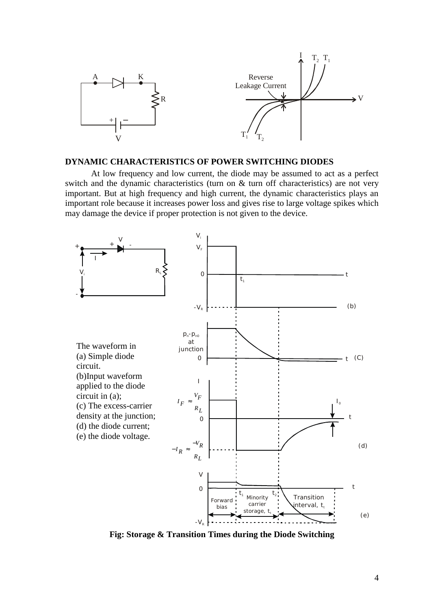

# **DYNAMIC CHARACTERISTICS OF POWER SWITCHING DIODES**

At low frequency and low current, the diode may be assumed to act as a perfect switch and the dynamic characteristics (turn on & turn off characteristics) are not very important. But at high frequency and high current, the dynamic characteristics plays an important role because it increases power loss and gives rise to large voltage spikes which may damage the device if proper protection is not given to the device.



**Fig: Storage & Transition Times during the Diode Switching**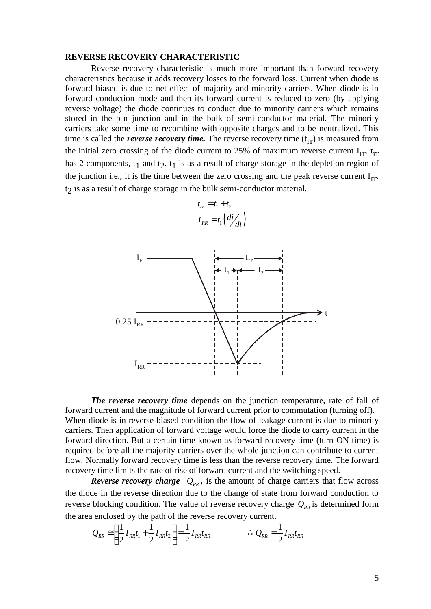#### **REVERSE RECOVERY CHARACTERISTIC**

Reverse recovery characteristic is much more important than forward recovery characteristics because it adds recovery losses to the forward loss. Current when diode is forward biased is due to net effect of majority and minority carriers. When diode is in forward conduction mode and then its forward current is reduced to zero (by applying reverse voltage) the diode continues to conduct due to minority carriers which remains stored in the p-n junction and in the bulk of semi-conductor material. The minority carriers take some time to recombine with opposite charges and to be neutralized. This time is called the *reverse recovery time*. The reverse recovery time  $(t_{rr})$  is measured from the initial zero crossing of the diode current to 25% of maximum reverse current  $I_{rr}$ . t<sub>rr</sub> has 2 components,  $t_1$  and  $t_2$ .  $t_1$  is as a result of charge storage in the depletion region of the junction i.e., it is the time between the zero crossing and the peak reverse current  $I_{rr}$ . t<sub>2</sub> is as a result of charge storage in the bulk semi-conductor material. TIC<br>
TIC<br>
such more important than forward recovery<br>
s to the forward loss. Current when diode is<br>
sity and minority carriers. When diode is in<br>
and current is reduced to zero (by applying<br>
luct due to minority carriers w field original minority carriers<br>ward current is reduced to<br>nduct due to minority carriers<br>lk of semi-conductor mat<br>no poposite charges and to l<br>ne reverse recovery time (t<sub>p</sub><br>nt to 25% of maximum re<br>ult of charge storage **TERISTIC**<br>
ic is much more important then<br>
try losses to the forward loss. If majority and minority carries<br>
ts forward current is reduced<br>
to conduct due to minority can<br>
be bulk of semi-conductor m<br>
ive with opposite c **TERISTIC**<br>
ic is much more important than<br>
y losses to the forward loss. Curr<br>
f majority and minority carriers.<br>
ts forward current is reduced to to<br>
to conduct due to minority carrier<br>
e bulk of semi-conductor mater<br>
w **ERISTIC**<br>
is much more important than forward recove<br>
losses to the forward loss. Current when diode<br>
isoporty and minority carriers. When diode is<br>
forward current is reduced to zero (by applyin<br>
conduct due to minority



*The reverse recovery time* depends on the junction temperature, rate of fall of forward current and the magnitude of forward current prior to commutation (turning off). When diode is in reverse biased condition the flow of leakage current is due to minority carriers. Then application of forward voltage would force the diode to carry current in the forward direction. But a certain time known as forward recovery time (turn-ON time) is required before all the majority carriers over the whole junction can contribute to current flow. Normally forward recovery time is less than the reverse recovery time. The forward recovery time limits the rate of rise of forward current and the switching speed. werse biased condition the flow<br>verse biased condition the flow<br>ation of forward voltage would<br>ut a certain time known as forv<br>ne majority carriers over the wh<br>ard recovery time is less than th<br>the rate of rise of forward 0.25  $I_{RR}$ <br>  $I_{RR}$ <br>  $I_{RR}$ <br>  $I_{RR}$ <br>  $I_{RR}$ <br>  $I_{RR}$ <br>  $I_{RR}$ <br>  $I_{RR}$ <br>  $I_{RR}$ <br>  $I_{RR}$   $I_{RR}$   $I_{RR}$   $I_{RR}$   $I_{RR}$ <br>  $I_{RR}$   $I_{RR}$   $I_{RR}$   $I_{RR}$   $I_{RR}$   $I_{RR}$   $I_{RR}$   $I_{RR}$   $I_{RR}$   $I_{RR}$ <br>  $I_{RR}$   $I_{RR}$   $I_{RR}$   $I_{RR}$   $I_{RR}$   $I$ **Process**<br> **Process**<br> **Process**<br> **Process**<br> **Process**<br> **Process**<br> **Process**<br> **Process**<br> **Process**<br> **Process**<br> **Process**<br> **Process**<br> **Process**<br> **Process**<br> **Process**<br> **Process**<br> **Process**<br> **Process**<br> **Process**<br> **Process**<br>

*Reverse recovery charge*  $Q_{\text{RR}}$ , is the amount of charge carriers that flow across the diode in the reverse direction due to the change of state from forward conduction to reverse blocking condition. The value of reverse recovery charge  $Q_{RR}$  is determined form the area enclosed by the path of the reverse recovery current.

$$
Q_{RR} \approx \left(\frac{1}{2}I_{RR}t_1 + \frac{1}{2}I_{RR}t_2\right) = \frac{1}{2}I_{RR}t_{RR} \qquad \therefore Q_{RR} = \frac{1}{2}I_{RR}t_{RR}
$$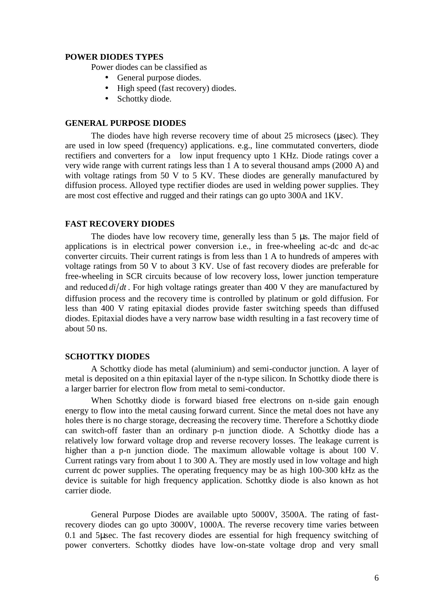#### **POWER DIODES TYPES**

Power diodes can be classified as

- General purpose diodes.
- High speed (fast recovery) diodes.
- Schottky diode.

#### **GENERAL PURPOSE DIODES**

The diodes have high reverse recovery time of about  $25$  microsecs (usec). They are used in low speed (frequency) applications. e.g., line commutated converters, diode rectifiers and converters for a low input frequency upto 1 KHz. Diode ratings cover a very wide range with current ratings less than 1 A to several thousand amps (2000 A) and with voltage ratings from 50 V to 5 KV. These diodes are generally manufactured by diffusion process. Alloyed type rectifier diodes are used in welding power supplies. They are most cost effective and rugged and their ratings can go upto 300A and 1KV.

#### **FAST RECOVERY DIODES**

The diodes have low recovery time, generally less than  $5 \mu s$ . The major field of applications is in electrical power conversion i.e., in free-wheeling ac-dc and dc-ac converter circuits. Their current ratings is from less than 1 A to hundreds of amperes with voltage ratings from 50 V to about 3 KV. Use of fast recovery diodes are preferable for free-wheeling in SCR circuits because of low recovery loss, lower junction temperature • General purpose diodes.<br>• High speed (fast recovery) diodes.<br>• Schottky diode.<br>• Schottky diode.<br>The diodes have high reverse recovery time of about 25 microsecs (µsec). They<br>are used in low speed (frequency) applicatio diffusion process and the recovery time is controlled by platinum or gold diffusion. For less than 400 V rating epitaxial diodes provide faster switching speeds than diffused diodes. Epitaxial diodes have a very narrow base width resulting in a fast recovery time of about 50 ns.

#### **SCHOTTKY DIODES**

A Schottky diode has metal (aluminium) and semi-conductor junction. A layer of metal is deposited on a thin epitaxial layer of the n-type silicon. In Schottky diode there is a larger barrier for electron flow from metal to semi-conductor.

When Schottky diode is forward biased free electrons on n-side gain enough energy to flow into the metal causing forward current. Since the metal does not have any holes there is no charge storage, decreasing the recovery time. Therefore a Schottky diode can switch-off faster than an ordinary p-n junction diode. A Schottky diode has a relatively low forward voltage drop and reverse recovery losses. The leakage current is higher than a p-n junction diode. The maximum allowable voltage is about 100 V. Current ratings vary from about 1 to 300 A. They are mostly used in low voltage and high current dc power supplies. The operating frequency may be as high 100-300 kHz as the device is suitable for high frequency application. Schottky diode is also known as hot carrier diode.

General Purpose Diodes are available upto 5000V, 3500A. The rating of fastrecovery diodes can go upto 3000V, 1000A. The reverse recovery time varies between  $0.1$  and 5usec. The fast recovery diodes are essential for high frequency switching of power converters. Schottky diodes have low-on-state voltage drop and very small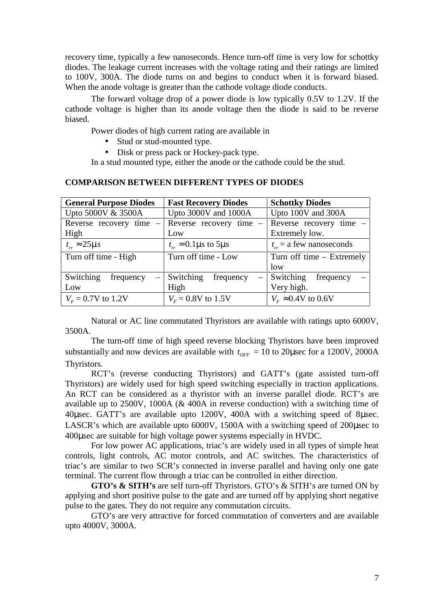- Stud or stud-mounted type.
- Disk or press pack or Hockey-pack type.

| recovery time, typically a few nanoseconds. Hence turn-off time is very low for schottky<br>diodes. The leakage current increases with the voltage rating and their ratings are limited<br>to 100V, 300A. The diode turns on and begins to conduct when it is forward biased.<br>When the anode voltage is greater than the cathode voltage diode conducts. |                                                                                                                                   |                                                                  |  |  |
|-------------------------------------------------------------------------------------------------------------------------------------------------------------------------------------------------------------------------------------------------------------------------------------------------------------------------------------------------------------|-----------------------------------------------------------------------------------------------------------------------------------|------------------------------------------------------------------|--|--|
| The forward voltage drop of a power diode is low typically 0.5V to 1.2V. If the<br>cathode voltage is higher than its anode voltage then the diode is said to be reverse<br>biased.                                                                                                                                                                         |                                                                                                                                   |                                                                  |  |  |
| Power diodes of high current rating are available in<br>Stud or stud-mounted type.<br>$\bullet$<br>Disk or press pack or Hockey-pack type.                                                                                                                                                                                                                  |                                                                                                                                   |                                                                  |  |  |
|                                                                                                                                                                                                                                                                                                                                                             |                                                                                                                                   |                                                                  |  |  |
|                                                                                                                                                                                                                                                                                                                                                             | In a stud mounted type, either the anode or the cathode could be the stud.<br><b>COMPARISON BETWEEN DIFFERENT TYPES OF DIODES</b> |                                                                  |  |  |
| <b>General Purpose Diodes</b>                                                                                                                                                                                                                                                                                                                               | <b>Fast Recovery Diodes</b>                                                                                                       | <b>Schottky Diodes</b>                                           |  |  |
| Upto 5000V & 3500A                                                                                                                                                                                                                                                                                                                                          | Upto 3000V and 1000A                                                                                                              | Upto 100V and 300A                                               |  |  |
| Reverse recovery time -<br>High                                                                                                                                                                                                                                                                                                                             | Reverse recovery time -<br>Low                                                                                                    | Reverse recovery time -<br>Extremely low.                        |  |  |
| $t_{rr} \approx 25 - s$                                                                                                                                                                                                                                                                                                                                     | $t_{rr} = 0.1 - s$ to 5 - s                                                                                                       |                                                                  |  |  |
| Turn off time - High                                                                                                                                                                                                                                                                                                                                        | Turn off time - Low                                                                                                               | $t_{rr}$ = a few nanoseconds<br>Turn off time – Extremely<br>low |  |  |
| Switching<br>frequency<br>Low                                                                                                                                                                                                                                                                                                                               | Switching<br>frequency<br>High                                                                                                    | Switching<br>frequency<br>Very high.                             |  |  |

#### **COMPARISON BETWEEN DIFFERENT TYPES OF DIODES**

Natural or AC line commutated Thyristors are available with ratings upto 6000V, 3500A.

The turn-off time of high speed reverse blocking Thyristors have been improved substantially and now devices are available with  $t_{OFF} = 10$  to 20 µsec for a 1200V, 2000A Thyristors.

RCT's (reverse conducting Thyristors) and GATT's (gate assisted turn-off Thyristors) are widely used for high speed switching especially in traction applications. An RCT can be considered as a thyristor with an inverse parallel diode. RCT's are available up to 2500V, 1000A (& 400A in reverse conduction) with a switching time of 40usec. GATT's are available upto 1200V, 400A with a switching speed of 8usec. LASCR's which are available upto  $6000V$ , 1500A with a switching speed of 200 usec to 400usec are suitable for high voltage power systems especially in HVDC.

For low power AC applications, triac's are widely used in all types of simple heat controls, light controls, AC motor controls, and AC switches. The characteristics of triac's are similar to two SCR's connected in inverse parallel and having only one gate terminal. The current flow through a triac can be controlled in either direction.

**GTO's & SITH's** are self turn-off Thyristors. GTO's & SITH's are turned ON by applying and short positive pulse to the gate and are turned off by applying short negative pulse to the gates. They do not require any commutation circuits.

GTO's are very attractive for forced commutation of converters and are available upto 4000V, 3000A.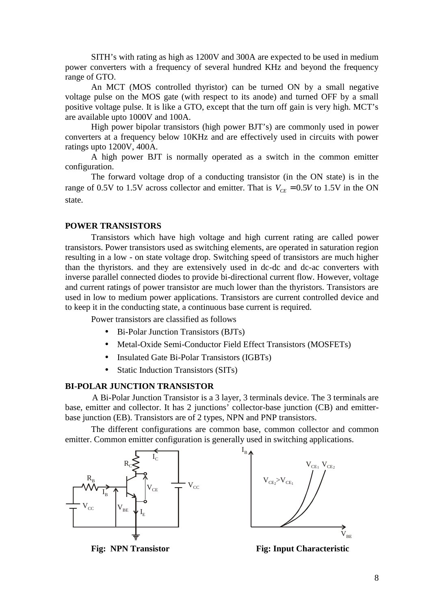SITH's with rating as high as 1200V and 300A are expected to be used in medium power converters with a frequency of several hundred KHz and beyond the frequency range of GTO.

An MCT (MOS controlled thyristor) can be turned ON by a small negative voltage pulse on the MOS gate (with respect to its anode) and turned OFF by a small positive voltage pulse. It is like a GTO, except that the turn off gain is very high. MCT's are available upto 1000V and 100A. SITH's with rating as high as 1200V and 300A are expected to be used in medium<br>power converters with a frequency of several hundred KHz and beyond the frequency<br>college pulse on the MOS gate (with respect to its anode) an

High power bipolar transistors (high power BJT's) are commonly used in power converters at a frequency below 10KHz and are effectively used in circuits with power ratings upto 1200V, 400A.

A high power BJT is normally operated as a switch in the common emitter configuration.

The forward voltage drop of a conducting transistor (in the ON state) is in the state.

#### **POWER TRANSISTORS**

Transistors which have high voltage and high current rating are called power transistors. Power transistors used as switching elements, are operated in saturation region resulting in a low - on state voltage drop. Switching speed of transistors are much higher than the thyristors. and they are extensively used in dc-dc and dc-ac converters with inverse parallel connected diodes to provide bi-directional current flow. However, voltage and current ratings of power transistor are much lower than the thyristors. Transistors are used in low to medium power applications. Transistors are current controlled device and to keep it in the conducting state, a continuous base current is required.

Power transistors are classified as follows

- Bi-Polar Junction Transistors (BJTs)
- Metal-Oxide Semi-Conductor Field Effect Transistors (MOSFETs)
- Insulated Gate Bi-Polar Transistors (IGBTs)
- Static Induction Transistors (SITs)

#### **BI-POLAR JUNCTION TRANSISTOR**

A Bi-Polar Junction Transistor is a 3 layer, 3 terminals device. The 3 terminals are base, emitter and collector. It has 2 junctions' collector-base junction (CB) and emitter base junction (EB). Transistors are of 2 types, NPN and PNP transistors.

The different configurations are common base, common collector and common emitter. Common emitter configuration is generally used in switching applications.





**Fig: NPN Transistor Fig: Input Characteristic**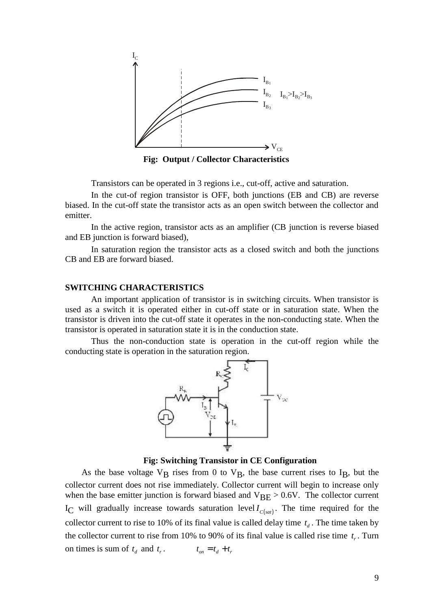

**Fig: Output / Collector Characteristics**

Transistors can be operated in 3 regions i.e., cut-off, active and saturation.

In the cut-of region transistor is OFF, both junctions (EB and CB) are reverse biased. In the cut-off state the transistor acts as an open switch between the collector and emitter.

In the active region, transistor acts as an amplifier (CB junction is reverse biased and EB junction is forward biased),

In saturation region the transistor acts as a closed switch and both the junctions CB and EB are forward biased.

#### **SWITCHING CHARACTERISTICS**

An important application of transistor is in switching circuits. When transistor is used as a switch it is operated either in cut-off state or in saturation state. When the transistor is driven into the cut-off state it operates in the non-conducting state. When the transistor is operated in saturation state it is in the conduction state.

Thus the non-conduction state is operation in the cut-off region while the conducting state is operation in the saturation region.



**Fig: Switching Transistor in CE Configuration**

As the base voltage  $V_B$  rises from 0 to  $V_B$ , the base current rises to I<sub>B</sub>, but the collector current does not rise immediately. Collector current will begin to increase only when the base emitter junction is forward biased and  $V_{\text{BE}} > 0.6V$ . The collector current IT IS the non-conduction state is operation in the cut-on region will be conducting state is operation in the staturation region.<br>
Fig. Switching Transistor in CE Configuration<br>
As the base voltage  $V_B$  rises from 0 to  $V$ collector current to rise to 10% of its final value is called delay time  $t_d$ . The time taken by the collector current to rise from 10% to 90% of its final value is called rise time  $t_r$ . Turn on times is sum of  $t_d$  and  $t_r$ .  $t_{on} = t_d + t_r$ *the and in saturation state it is in the conduction state.*<br> **to an above the conduction state is operation in the cut-of operation in the saturation region.<br>
Fig. Switching Transistor in CE Configurate of the saturation**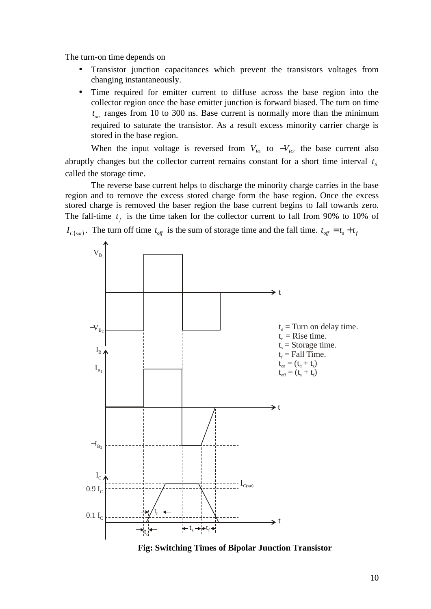The turn-on time depends on

- Transistor junction capacitances which prevent the transistors voltages from changing instantaneously.
- Time required for emitter current to diffuse across the base region into the collector region once the base emitter junction is forward biased. The turn on time  $t_{on}$  ranges from 10 to 300 ns. Base current is normally more than the minimum required to saturate the transistor. As a result excess minority carrier charge is stored in the base region.

When the input voltage is reversed from  $V_{B1}$  to  $-V_{B2}$  the base current also abruptly changes but the collector current remains constant for a short time interval  $t_s$  $t_{\rm s}$ called the storage time.

The reverse base current helps to discharge the minority charge carries in the base region and to remove the excess stored charge form the base region. Once the excess stored charge is removed the baser region the base current begins to fall towards zero. The fall-time  $t_f$  is the time taken for the collector current to fall from 90% to 10% of



**Fig: Switching Times of Bipolar Junction Transistor**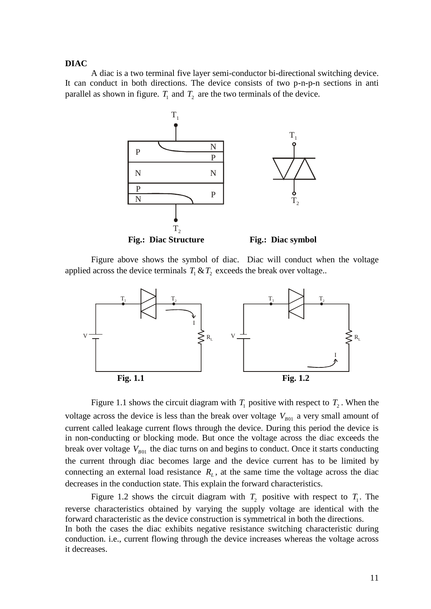#### **DIAC**

A diac is a two terminal five layer semi-conductor bi-directional switching device. It can conduct in both directions. The device consists of two p-n-p-n sections in anti parallel as shown in figure.  $T_1$  and  $T_2$  are the two terminals of the device.



Figure above shows the symbol of diac. Diac will conduct when the voltage



Figure 1.1 shows the circuit diagram with  $T_1$  positive with respect to  $T_2$ . When the voltage across the device is less than the break over voltage  $V_{B01}$  a very small amount of current called leakage current flows through the device. During this period the device is in non-conducting or blocking mode. But once the voltage across the diac exceeds the break over voltage  $V_{B01}$  the diac turns on and begins to conduct. Once it starts conducting the current through diac becomes large and the device current has to be limited by connecting an external load resistance  $R<sub>L</sub>$ , at the same time the voltage across the diac decreases in the conduction state. This explain the forward characteristics.

Figure 1.2 shows the circuit diagram with  $T_2$  positive with respect to  $T_1$ . The reverse characteristics obtained by varying the supply voltage are identical with the forward characteristic as the device construction is symmetrical in both the directions. In both the cases the diac exhibits negative resistance switching characteristic during conduction. i.e., current flowing through the device increases whereas the voltage across it decreases.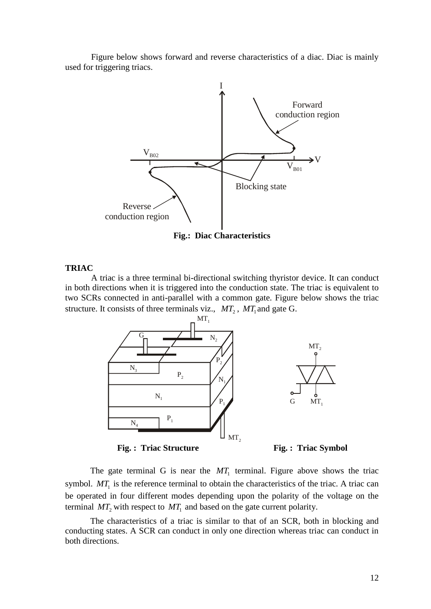Figure below shows forward and reverse characteristics of a diac. Diac is mainly used for triggering triacs.



**Fig.: Diac Characteristics**

#### **TRIAC**

A triac is a three terminal bi-directional switching thyristor device. It can conduct in both directions when it is triggered into the conduction state. The triac is equivalent to two SCRs connected in anti-parallel with a common gate. Figure below shows the triac structure. It consists of three terminals viz.,  $MT_2$ ,  $MT_1$  and gate G.



The gate terminal G is near the  $MT_1$  terminal. Figure above shows the triac symbol.  $MT_1$  is the reference terminal to obtain the characteristics of the triac. A triac can be operated in four different modes depending upon the polarity of the voltage on the terminal  $MT_2$  with respect to  $MT_1$  and based on the gate current polarity.

The characteristics of a triac is similar to that of an SCR, both in blocking and conducting states. A SCR can conduct in only one direction whereas triac can conduct in both directions.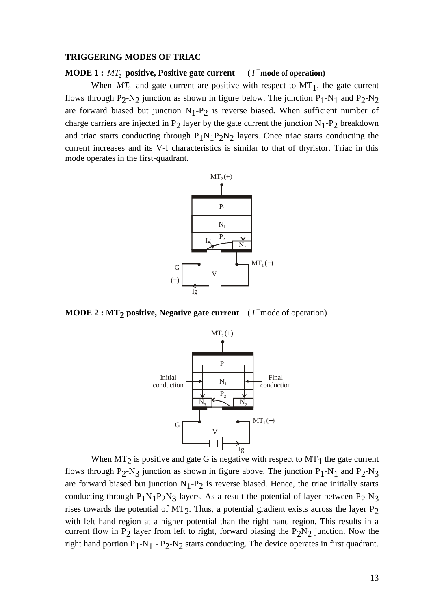#### **TRIGGERING MODES OF TRIAC**

#### **MODE**  $1: MT_2$  positive, Positive gate current  $(I^+ \text{mode of operation})$ **mode of operation)**

When  $MT_2$  and gate current are positive with respect to  $MT_1$ , the gate current flows through  $P_2-N_2$  junction as shown in figure below. The junction  $P_1-N_1$  and  $P_2-N_2$ are forward biased but junction  $N_1-P_2$  is reverse biased. When sufficient number of charge carriers are injected in  $P_2$  layer by the gate current the junction  $N_1$ - $P_2$  breakdown and triac starts conducting through  $P_1N_1P_2N_2$  layers. Once triac starts conducting the current increases and its V-I characteristics is similar to that of thyristor. Triac in this mode operates in the first-quadrant.



**MODE 2 : MT<sub>2</sub> positive, Negative gate current** ( $I<sup>-</sup>$  mode of operation)



When  $MT_2$  is positive and gate G is negative with respect to  $MT_1$  the gate current flows through P<sub>2</sub>-N<sub>3</sub> junction as shown in figure above. The junction P<sub>1</sub>-N<sub>1</sub> and P<sub>2</sub>-N<sub>3</sub> are forward biased but junction  $N_1$ - $P_2$  is reverse biased. Hence, the triac initially starts conducting through  $P_1N_1P_2N_3$  layers. As a result the potential of layer between  $P_2$ -N<sub>3</sub> rises towards the potential of  $MT_2$ . Thus, a potential gradient exists across the layer  $P_2$ with left hand region at a higher potential than the right hand region. This results in a current flow in  $P_2$  layer from left to right, forward biasing the  $P_2N_2$  junction. Now the right hand portion  $P_1-N_1 - P_2-N_2$  starts conducting. The device operates in first quadrant.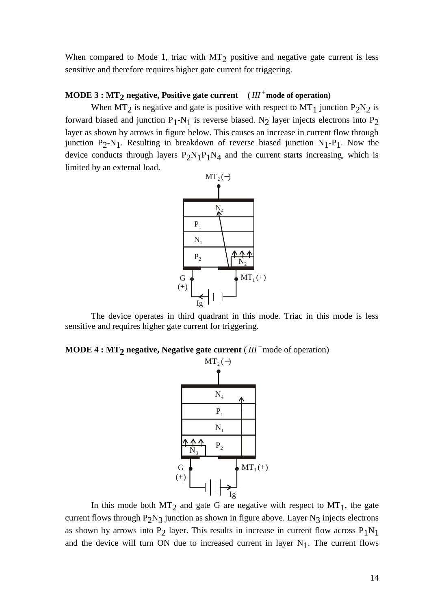When compared to Mode 1, triac with  $MT_2$  positive and negative gate current is less sensitive and therefore requires higher gate current for triggering.

# **MODE 3 : MT2 negative, Positive gate current (** *III* **mode of operation)**

When  $MT_2$  is negative and gate is positive with respect to  $MT_1$  junction  $P_2N_2$  is forward biased and junction  $P_1$ -N<sub>1</sub> is reverse biased. N<sub>2</sub> layer injects electrons into P<sub>2</sub> layer as shown by arrows in figure below. This causes an increase in current flow through junction  $P_2-N_1$ . Resulting in breakdown of reverse biased junction  $N_1-P_1$ . Now the device conducts through layers  $P_2N_1P_1N_4$  and the current starts increasing, which is limited by an external load.



The device operates in third quadrant in this mode. Triac in this mode is less sensitive and requires higher gate current for triggering.

**MODE 4 : MT<sub>2</sub> negative, Negative gate current** ( $III^-$  mode of operation)<br>MT<sub>2</sub>(-)



In this mode both  $MT_2$  and gate G are negative with respect to  $MT_1$ , the gate current flows through  $P_2N_3$  junction as shown in figure above. Layer  $N_3$  injects electrons as shown by arrows into  $P_2$  layer. This results in increase in current flow across  $P_1N_1$ and the device will turn ON due to increased current in layer  $N_1$ . The current flows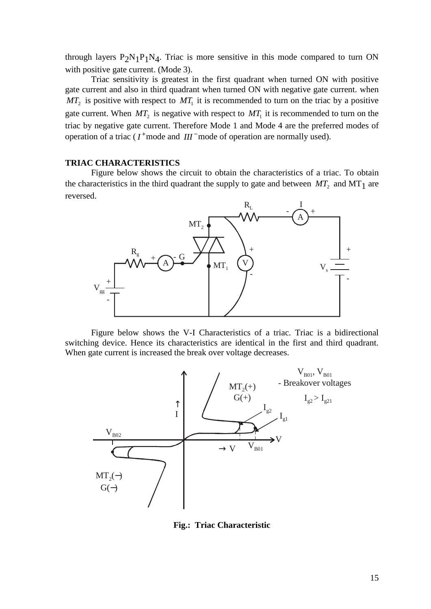through layers  $P_2N_1P_1N_4$ . Triac is more sensitive in this mode compared to turn ON with positive gate current. (Mode 3).

Triac sensitivity is greatest in the first quadrant when turned ON with positive gate current and also in third quadrant when turned ON with negative gate current. when  $MT_2$  is positive with respect to  $MT_1$  it is recommended to turn on the triac by a positive gate current. When  $MT_2$  is negative with respect to  $MT_1$  it is recommended to turn on the triac by negative gate current. Therefore Mode 1 and Mode 4 are the preferred modes of operation of a triac ( $I^+$  mode and  $III^-$  mode of operation are normally used).

#### **TRIAC CHARACTERISTICS**

Figure below shows the circuit to obtain the characteristics of a triac. To obtain the characteristics in the third quadrant the supply to gate and between  $MT_2$  and  $MT_1$  are reversed.



Figure below shows the V-I Characteristics of a triac. Triac is a bidirectional switching device. Hence its characteristics are identical in the first and third quadrant. When gate current is increased the break over voltage decreases.



**Fig.: Triac Characteristic**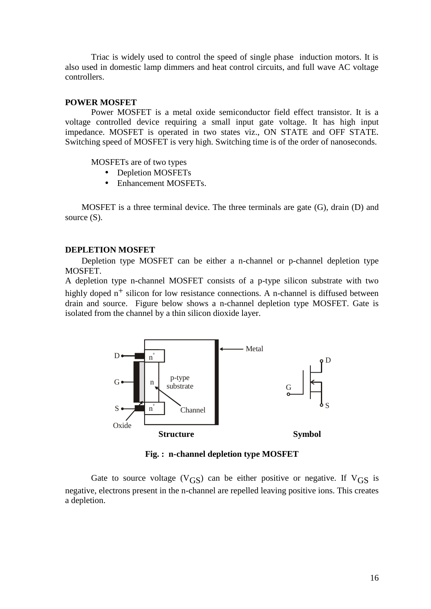Triac is widely used to control the speed of single phase induction motors. It is also used in domestic lamp dimmers and heat control circuits, and full wave AC voltage controllers.

#### **POWER MOSFET**

Power MOSFET is a metal oxide semiconductor field effect transistor. It is a voltage controlled device requiring a small input gate voltage. It has high input impedance. MOSFET is operated in two states viz., ON STATE and OFF STATE. Switching speed of MOSFET is very high. Switching time is of the order of nanoseconds.

MOSFETs are of two types

- Depletion MOSFETs
- Enhancement MOSFETs.

MOSFET is a three terminal device. The three terminals are gate (G), drain (D) and source  $(S)$ .

#### **DEPLETION MOSFET**

Depletion type MOSFET can be either a n-channel or p-channel depletion type MOSFET.

A depletion type n-channel MOSFET consists of a p-type silicon substrate with two highly doped  $n^+$  silicon for low resistance connections. A n-channel is diffused between drain and source. Figure below shows a n-channel depletion type MOSFET. Gate is isolated from the channel by a thin silicon dioxide layer.



**Fig. : n-channel depletion type MOSFET**

Gate to source voltage ( $V$ <sub>GS</sub>) can be either positive or negative. If  $V$ <sub>GS</sub> is negative, electrons present in the n-channel are repelled leaving positive ions. This creates a depletion.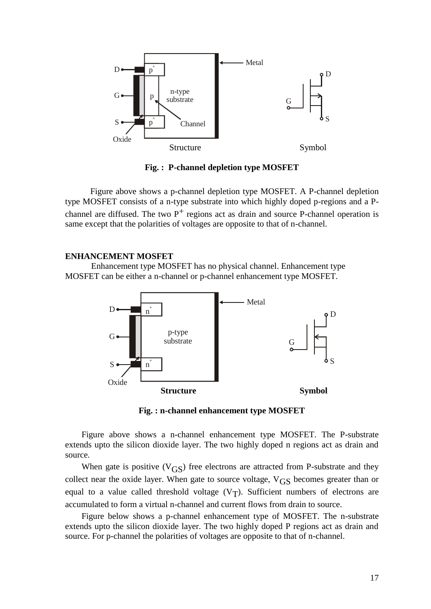

**Fig. : P-channel depletion type MOSFET**

Figure above shows a p-channel depletion type MOSFET. A P-channel depletion type MOSFET consists of a n-type substrate into which highly doped p-regions and a P channel are diffused. The two  $P^+$  regions act as drain and source P-channel operation is same except that the polarities of voltages are opposite to that of n-channel.

#### **ENHANCEMENT MOSFET**

Enhancement type MOSFET has no physical channel. Enhancement type MOSFET can be either a n-channel or p-channel enhancement type MOSFET.



**Fig. : n-channel enhancement type MOSFET**

Figure above shows a n-channel enhancement type MOSFET. The P-substrate extends upto the silicon dioxide layer. The two highly doped n regions act as drain and source.

When gate is positive  $(V_{GS})$  free electrons are attracted from P-substrate and they collect near the oxide layer. When gate to source voltage,  $V_{GS}$  becomes greater than or equal to a value called threshold voltage  $(V_T)$ . Sufficient numbers of electrons are accumulated to form a virtual n-channel and current flows from drain to source.

Figure below shows a p-channel enhancement type of MOSFET. The n-substrate extends upto the silicon dioxide layer. The two highly doped P regions act as drain and source. For p-channel the polarities of voltages are opposite to that of n-channel.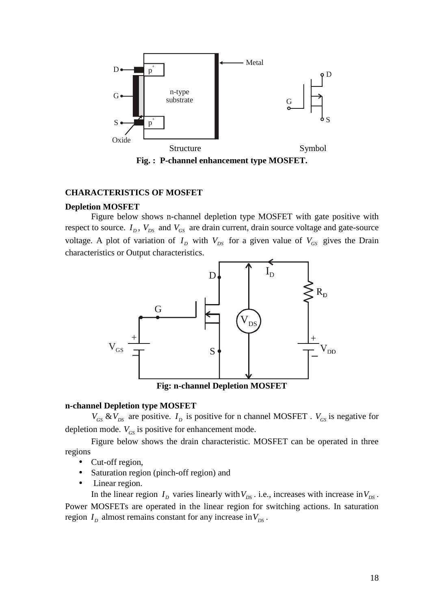

#### **CHARACTERISTICS OF MOSFET**

#### **Depletion MOSFET**

Figure below shows n-channel depletion type MOSFET with gate positive with respect to source.  $I_D$ ,  $V_{DS}$  and  $V_{GS}$  are drain current, drain source voltage and gate-source voltage. A plot of variation of  $I_D$  with  $V_{DS}$  for a given value of  $V_{GS}$  gives the Drain characteristics or Output characteristics.



**Fig: n-channel Depletion MOSFET**

#### **n-channel Depletion type MOSFET**

 $V_{GS}$  &  $V_{DS}$  are positive.  $I_D$  is positive for n channel MOSFET .  $V_{GS}$  is negative for depletion mode.  $V_{GS}$  is positive for enhancement mode.

Figure below shows the drain characteristic. MOSFET can be operated in three regions

- Cut-off region,
- Saturation region (pinch-off region) and
- Linear region.

In the linear region  $I_D$  varies linearly with  $V_{DS}$ . i.e., increases with increase in  $V_{DS}$ . Power MOSFETs are operated in the linear region for switching actions. In saturation region  $I_D$  almost remains constant for any increase in  $V_{DS}$ .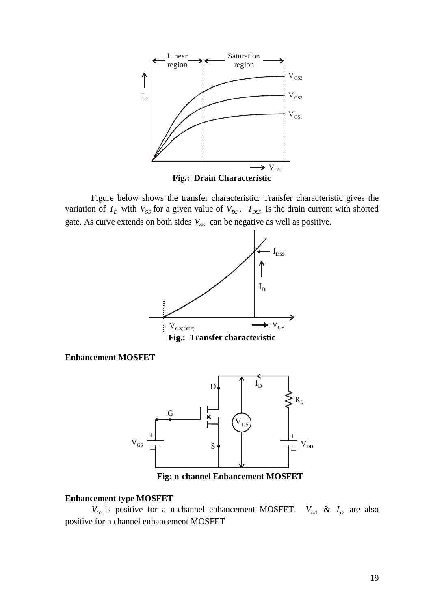

**Fig.: Drain Characteristic**

Figure below shows the transfer characteristic. Transfer characteristic gives the variation of  $I_D$  with  $V_{GS}$  for a given value of  $V_{DS}$ .  $I_{DSS}$  is the drain current with shorted gate. As curve extends on both sides  $V_{GS}$  can be negative as well as positive.



**Enhancement MOSFET**



**Fig: n-channel Enhancement MOSFET**

#### **Enhancement type MOSFET**

 $V_{GS}$  is positive for a n-channel enhancement MOSFET.  $V_{DS}$  &  $I_D$  are also positive for n channel enhancement MOSFET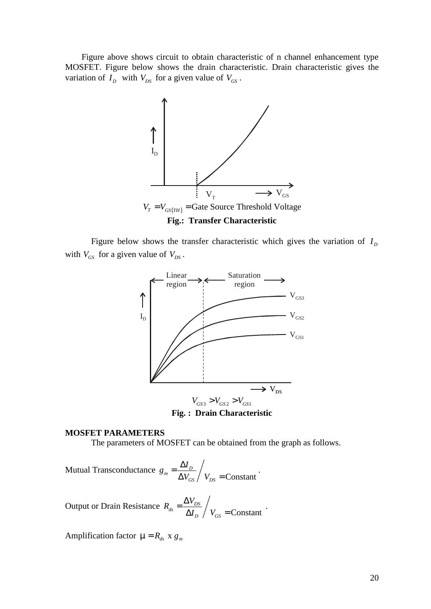Figure above shows circuit to obtain characteristic of n channel enhancement type MOSFET. Figure below shows the drain characteristic. Drain characteristic gives the variation of  $I_D$  with  $V_{DS}$  for a given value of  $V_{GS}$ .



Figure below shows the transfer characteristic which gives the variation of  $I<sub>D</sub>$ *I* with  $V_{GS}$  for a given value of  $V_{DS}$ .





#### **MOSFET PARAMETERS**

The parameters of MOSFET can be obtained from the graph as follows.

Mutual Transconductance  $g_m = \frac{2}{\lambda}$ Constant **Constant**  $\frac{dL}{dN} = \frac{\Delta T}{\Delta V} / V =$ Constant:  $GS / Y_{DS}$   $\sim$  Constant  $g_m = \frac{\Delta I_D}{\Delta V_{GS}} / V_{DS} =$ Constant ·

Output or Drain Resistance  $R_{ds} =$ **Constant**  $\frac{dS}{ds} = \frac{\Delta V_{DS}}{\Delta I} / V_{C}$  – Constant  $\cdot$  $D / GS$   $\sim$  Constant  $R_{ds} = \frac{\Delta V_{DS}}{V} / V_{V}$  $I_p / V_{GS}$  = Constant  $=\frac{\Delta V_{DS}}{\Delta I_D}\bigg/ V_{GS}$  = Constant  $\cdot$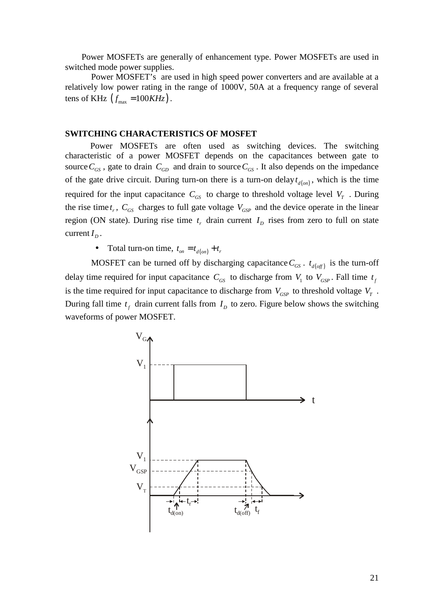Power MOSFETs are generally of enhancement type. Power MOSFETs are used in switched mode power supplies.

Power MOSFET's are used in high speed power converters and are available at a relatively low power rating in the range of 1000V, 50A at a frequency range of several Power MOSFETs are generally of enhancement type. Positive defined mode power supplies.<br>
Power MOSFET's are used in high speed power converted<br>
relatively low power rating in the range of 1000V, 50A at a f<br>
tens of KHz  $(f_{$ 

#### **SWITCHING CHARACTERISTICS OF MOSFET**

Power MOSFETs are often used as switching devices. The switching characteristic of a power MOSFET depends on the capacitances between gate to source  $C_{GS}$ , gate to drain  $C_{GD}$  and drain to source  $C_{GS}$ . It also depends on the impedance Power MOSFETs are generally of enhancement type. Power MOSFETs are used in<br>switched mode power supplies.<br>Power MOSFET's are used in high speed power converters and are available at a<br>relatively low power rating in the ran required for the input capacitance  $C_{GS}$  to charge to threshold voltage level  $V_T$ . During the rise time  $t_r$ ,  $C_{GS}$  charges to full gate voltage  $V_{GSP}$  and the device operate in the linear region (ON state). During rise time  $t_r$  drain current  $I_p$  rises from zero to full on state current  $I_D$ . iver MOSFETs are generally of enhancement type. Power MOSFETs are used in orde power supplies.<br>
Yower MOSFET's are used in high speed power converters and are available<br>
Jou power rating in the range of 1000V, 50A at a fr **EXECUTE CONTRET CONTENT CONTENT CONTENT CONTENT CONTENT POWER THANG CHARACTERISTICS OF MOSFET**<br>
Power MOSFET are often used as switching devices. The switching<br>
eristic of a power MOSFET depends on the capacitances betwe

delay time required for input capacitance  $C_{GS}$  to discharge from  $V_1$  to  $V_{GSP}$ . Fall time  $t_f$ is the time required for input capacitance to discharge from  $V_{GSP}$  to threshold voltage  $V_T$ . During fall time  $t_f$  drain current falls from  $I_p$  to zero. Figure below shows the switching waveforms of power MOSFET.

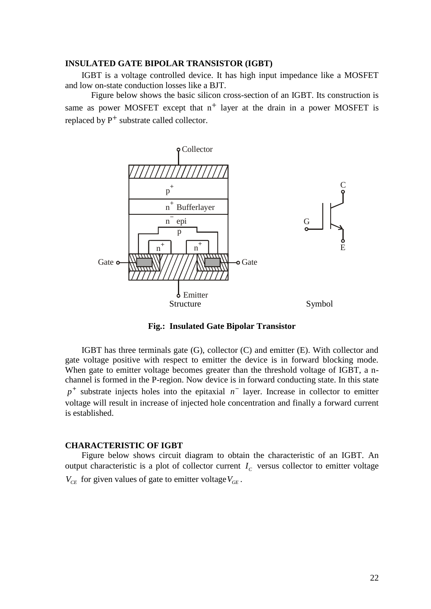#### **INSULATED GATE BIPOLAR TRANSISTOR (IGBT)**

IGBT is a voltage controlled device. It has high input impedance like a MOSFET and low on-state conduction losses like a BJT.

Figure below shows the basic silicon cross-section of an IGBT. Its construction is same as power MOSFET except that  $n^+$  layer at the drain in a power MOSFET is replaced by  $P^+$  substrate called collector.



**Fig.: Insulated Gate Bipolar Transistor**

IGBT has three terminals gate (G), collector (C) and emitter (E). With collector and gate voltage positive with respect to emitter the device is in forward blocking mode. When gate to emitter voltage becomes greater than the threshold voltage of IGBT, a n channel is formed in the P-region. Now device is in forward conducting state. In this state  $p^+$  substrate injects holes into the epitaxial  $n^-$  layer. Increase in collector to emitter voltage will result in increase of injected hole concentration and finally a forward current is established.

#### **CHARACTERISTIC OF IGBT**

Figure below shows circuit diagram to obtain the characteristic of an IGBT. An output characteristic is a plot of collector current  $I_c$  versus collector to emitter voltage  $V_{CE}$  for given values of gate to emitter voltage $V_{GE}$ .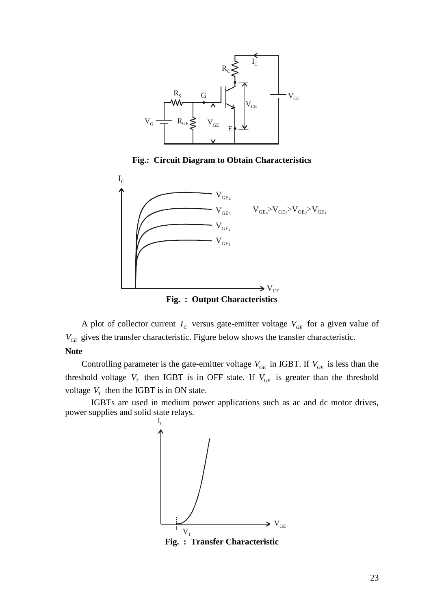

**Fig.: Circuit Diagram to Obtain Characteristics**



**Fig. : Output Characteristics**

A plot of collector current  $I_c$  versus gate-emitter voltage  $V_{GE}$  for a given value of *V<sub>CE</sub>* gives the transfer characteristic. Figure below shows the transfer characteristic.

#### **Note**

Controlling parameter is the gate-emitter voltage  $V_{GE}$  in IGBT. If  $V_{GE}$  is less than the threshold voltage  $V_T$  then IGBT is in OFF state. If  $V_{GE}$  is greater than the threshold voltage  $V_T$  then the IGBT is in ON state.

IGBTs are used in medium power applications such as ac and dc motor drives, power supplies and solid state relays.



**Fig. : Transfer Characteristic**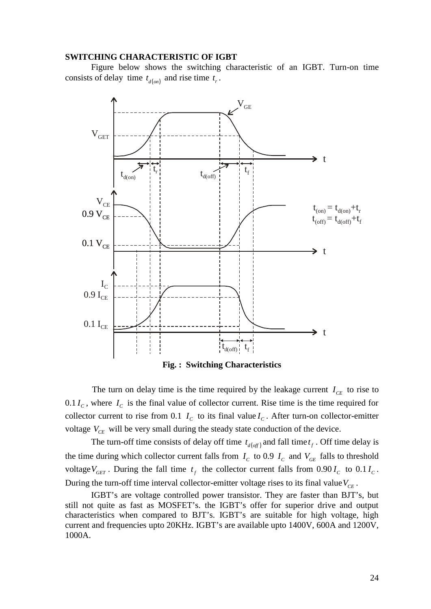#### **SWITCHING CHARACTERISTIC OF IGBT**

Figure below shows the switching characteristic of an IGBT. Turn-on time



**Fig. : Switching Characteristics**

The turn on delay time is the time required by the leakage current  $I_{CE}$  to rise to  $0.1 I_c$ , where  $I_c$  is the final value of collector current. Rise time is the time required for collector current to rise from 0.1  $I_c$  to its final value  $I_c$ . After turn-on collector-emitter voltage  $V_{CE}$  will be very small during the steady state conduction of the device.

the time during which collector current falls from  $I_c$  to 0.9  $I_c$  and  $V_{GE}$  falls to threshold voltage  $V_{GET}$ . During the fall time  $t_f$  the collector current falls from 0.90  $I_c$  to 0.1  $I_c$ . During the turn-off time interval collector-emitter voltage rises to its final value  $V_{CE}$ .

IGBT's are voltage controlled power transistor. They are faster than BJT's, but still not quite as fast as MOSFET's. the IGBT's offer for superior drive and output characteristics when compared to BJT's. IGBT's are suitable for high voltage, high current and frequencies upto 20KHz. IGBT's are available upto 1400V, 600A and 1200V, 1000A.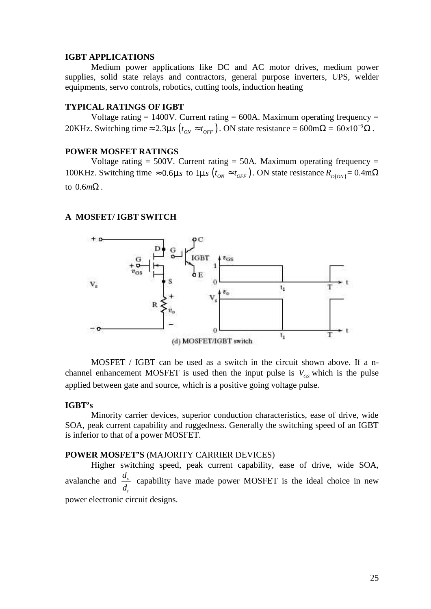#### **IGBT APPLICATIONS**

Medium power applications like DC and AC motor drives, medium power supplies, solid state relays and contractors, general purpose inverters, UPS, welder equipments, servo controls, robotics, cutting tools, induction heating

### **TYPICAL RATINGS OF IGBT**

Voltage rating  $= 1400V$ . Current rating  $= 600A$ . Maximum operating frequency  $=$  $^{-3}\Omega$ .

#### **POWER MOSFET RATINGS**

**IGBT APPLICATIONS**<br> **Medium power applications like DC and AC motor drives, medium power supplies, solid state relays and contractors, general purpose inverters, UPS, welder equipments, servo controls, robotics, cutting** Voltage rating  $= 500V$ . Current rating  $= 50A$ . Maximum operating frequency  $=$ **16BT APPLICATIONS**<br>
Medium power applications like DC and AC motor drives, medium power<br>
supplies, solid state relays and contractors, general purpose inverters, UPS, welder<br>
equipments, servo controls, robotics, cutting to  $0.6m\Omega$ .

#### **A MOSFET/ IGBT SWITCH**



MOSFET / IGBT can be used as a switch in the circuit shown above. If a n channel enhancement MOSFET is used then the input pulse is  $V_{GS}$  which is the pulse applied between gate and source, which is a positive going voltage pulse.

#### **IGBT's**

Minority carrier devices, superior conduction characteristics, ease of drive, wide SOA, peak current capability and ruggedness. Generally the switching speed of an IGBT is inferior to that of a power MOSFET.

#### **POWER MOSFET'S** (MAJORITY CARRIER DEVICES)

Higher switching speed, peak current capability, ease of drive, wide SOA, avalanche and  $\frac{d_v}{d_t}$  capability have made power MOS capability have made power MOSFET is the ideal choice in new power electronic circuit designs.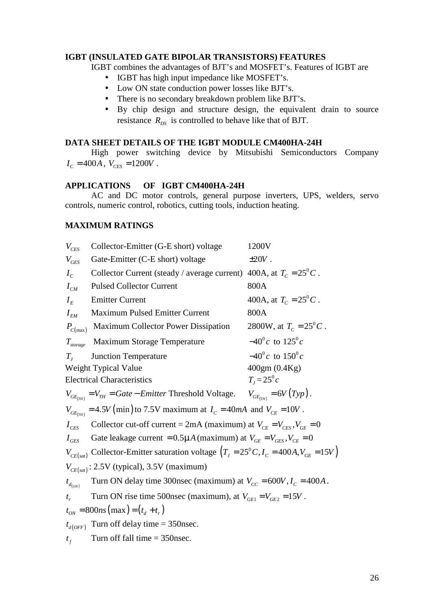#### **IGBT (INSULATED GATE BIPOLAR TRANSISTORS) FEATURES**

- IGBT has high input impedance like MOSFET's.
- Low ON state conduction power losses like BJT's.
- There is no secondary breakdown problem like BJT's.
- By chip design and structure design, the equivalent drain to source resistance  $R_{DS}$  is controlled to behave like that of BJT.

#### **DATA SHEET DETAILS OF THE IGBT MODULE CM400HA-24H**

High power switching device by Mitsubishi Semiconductors Company  $I_c = 400A$ ,  $V_{CFS} = 1200V$ . **IGBT (INSULATED GATE BIPOLAR TRANSISTORS) FEATURI**<br>
IGBT combines the advantages of BJT's and MOSFET's. Feature <br>
• IGBT has high input impedance like MOSFET's.<br>
• Low ON state conduction power losses like BJT's.<br>
• Ther

#### **MAXIMUM RATINGS**

|                                                                                          | IGBT combines the advantages of BJT's and MOSFET's. Features of IGBT are                                                                                                                    |                                  |  |  |  |  |
|------------------------------------------------------------------------------------------|---------------------------------------------------------------------------------------------------------------------------------------------------------------------------------------------|----------------------------------|--|--|--|--|
|                                                                                          | IGBT has high input impedance like MOSFET's.<br>Low ON state conduction power losses like BJT's.<br>$\bullet$                                                                               |                                  |  |  |  |  |
|                                                                                          | There is no secondary breakdown problem like BJT's.<br>By chip design and structure design, the equivalent drain to source<br>resistance $R_{DS}$ is controlled to behave like that of BJT. |                                  |  |  |  |  |
|                                                                                          |                                                                                                                                                                                             |                                  |  |  |  |  |
|                                                                                          |                                                                                                                                                                                             |                                  |  |  |  |  |
|                                                                                          | DATA SHEET DETAILS OF THE IGBT MODULE CM400HA-24H                                                                                                                                           |                                  |  |  |  |  |
|                                                                                          | High power switching device by Mitsubishi Semiconductors Company<br>$I_c = 400A$ , $V_{CES} = 1200V$ .                                                                                      |                                  |  |  |  |  |
|                                                                                          | <b>APPLICATIONS</b><br>OF IGBT CM400HA-24H<br>AC and DC motor controls, general purpose inverters, UPS, welders, servo                                                                      |                                  |  |  |  |  |
|                                                                                          | controls, numeric control, robotics, cutting tools, induction heating.                                                                                                                      |                                  |  |  |  |  |
|                                                                                          | <b>MAXIMUM RATINGS</b>                                                                                                                                                                      |                                  |  |  |  |  |
| $V_{CES}$                                                                                | Collector-Emitter (G-E short) voltage                                                                                                                                                       | 1200V                            |  |  |  |  |
| $V_{GES}$                                                                                | Gate-Emitter (C-E short) voltage                                                                                                                                                            | $\pm 20V$ .                      |  |  |  |  |
| $I_c$                                                                                    | Collector Current (steady / average current) 400A, at $T_c = 25^\circ C$ .                                                                                                                  |                                  |  |  |  |  |
| $I_{CM}$                                                                                 | <b>Pulsed Collector Current</b>                                                                                                                                                             | 800A                             |  |  |  |  |
| $I_{E}$                                                                                  | <b>Emitter Current</b>                                                                                                                                                                      | 400A, at $T_c = 25^{\circ}C$ .   |  |  |  |  |
| $I_{EM}$                                                                                 | Maximum Pulsed Emitter Current                                                                                                                                                              | 800A                             |  |  |  |  |
| $P_{C(\text{max})}$                                                                      | Maximum Collector Power Dissipation                                                                                                                                                         | 2800W, at $T_c = 25^{\circ}C$ .  |  |  |  |  |
| $T_{\text{storage}}$                                                                     | <b>Maximum Storage Temperature</b>                                                                                                                                                          | $-40^{\circ}c$ to $125^{\circ}c$ |  |  |  |  |
| $T_{I}$                                                                                  | <b>Junction Temperature</b>                                                                                                                                                                 | $-40^{\circ}c$ to $150^{\circ}c$ |  |  |  |  |
|                                                                                          | Weight Typical Value                                                                                                                                                                        | 400gm (0.4Kg)                    |  |  |  |  |
|                                                                                          | <b>Electrical Characteristics</b>                                                                                                                                                           | $T_{I} = 25^{0} c$               |  |  |  |  |
| $V_{GE_{(TH)}} = V_{TH} = Gate - Emitter$ Threshold Voltage. $V_{GE_{(TH)}} = 6V(Typ)$ . |                                                                                                                                                                                             |                                  |  |  |  |  |
|                                                                                          | $V_{GE_{(TH)}} = 4.5V \text{ (min)}$ to 7.5V maximum at $I_c = 40mA$ and $V_{CE} = 10V$ .                                                                                                   |                                  |  |  |  |  |
| $I_{CES}$                                                                                | Collector cut-off current = 2mA (maximum) at $V_{CE} = V_{CES}$ , $V_{GE} = 0$                                                                                                              |                                  |  |  |  |  |
| $I_{GES}$                                                                                | Gate leakage current = $0.5 \sim A$ (maximum) at $V_{GE} = V_{GES}$ , $V_{CE} = 0$                                                                                                          |                                  |  |  |  |  |
|                                                                                          | $V_{CE(sat)}$ Collector-Emitter saturation voltage $(T_I = 25^\circ C, I_C = 400A, V_{GE} = 15V)$                                                                                           |                                  |  |  |  |  |
|                                                                                          | $V_{CE(sat)}$ : 2.5V (typical), 3.5V (maximum)                                                                                                                                              |                                  |  |  |  |  |
| $t_{d_{(ON)}}$                                                                           | Turn ON delay time 300nsec (maximum) at $V_{cc} = 600V$ , $I_c = 400A$ .                                                                                                                    |                                  |  |  |  |  |
| $t_{r}$                                                                                  | Turn ON rise time 500nsec (maximum), at $V_{GE1} = V_{GE2} = 15V$ .                                                                                                                         |                                  |  |  |  |  |
|                                                                                          | $t_{ON} = 800ns \, \text{(max)} = (t_d + t_r)$                                                                                                                                              |                                  |  |  |  |  |
|                                                                                          | $t_{d(OFF)}$ Turn off delay time = 350nsec.                                                                                                                                                 |                                  |  |  |  |  |
| $t_f$                                                                                    | Turn off fall time $=$ 350nsec.                                                                                                                                                             |                                  |  |  |  |  |
|                                                                                          |                                                                                                                                                                                             |                                  |  |  |  |  |
|                                                                                          |                                                                                                                                                                                             |                                  |  |  |  |  |
|                                                                                          |                                                                                                                                                                                             | 26                               |  |  |  |  |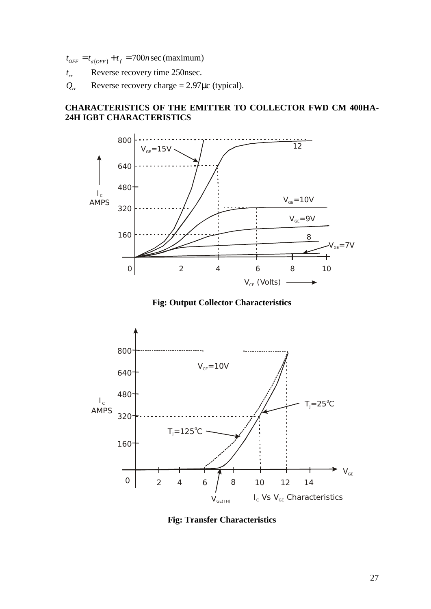- 
- $Q_{rr}$  Reverse recovery charge = 2.97 $\mu$ c (typical).

# $t_{OFF} = t_{d(OFF)} + t_f = 700n \text{ sec (maximum)}$ <br>  $t_r$  Reverse recovery time 250nsec.<br>  $Q_r$  Reverse recovery charge = 2.97µc (typical).<br> **CHARACTERISTICS OF THE EMITTER TO COLLEC**<br> **24H IGBT CHARACTERISTICS CHARACTERISTICS OF THE EMITTER TO COLLECTOR FWD CM 400HA- 24H IGBT CHARACTERISTICS**



**Fig: Output Collector Characteristics**



**Fig: Transfer Characteristics**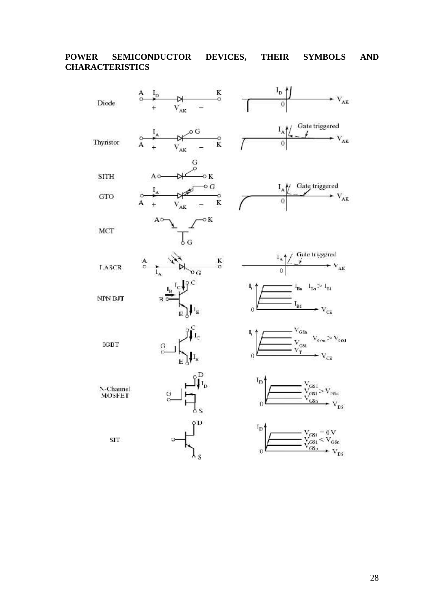# **POWER SEMICONDUCTOR DEVICES, THEIR SYMBOLS AND CHARACTERISTICS**

| Diode               | K<br>$I_{\rm p}$<br>$_{\circ}^{\rm A}$<br>ö<br>$V_{AK}$               | $\mathbf{I}_{\texttt{D}}$<br>$-V_{AK}$<br>0                                                                                                                                           |
|---------------------|-----------------------------------------------------------------------|---------------------------------------------------------------------------------------------------------------------------------------------------------------------------------------|
| Thyristor           | οG<br>$\frac{1}{\lambda}$<br>$_{\rm A}^{\circ}$<br>Ö<br>K<br>$V_{AK}$ | Gate triggered<br>$I_A$<br>$\mathbf{V}_{\mathbf{AK}}$                                                                                                                                 |
| <b>SITH</b>         | G<br>Q<br>$\sim$ K<br>A0                                              |                                                                                                                                                                                       |
| GTO                 | $\overline{\phantom{a}}$ o<br>$\alpha$<br>$\bar{\rm K}$               | Gate triggered<br>$I_A$<br>$V_{AK}$<br>0                                                                                                                                              |
| MCT                 | οK<br>Aο<br>δG                                                        |                                                                                                                                                                                       |
| <b>TASCR</b>        | $_{\rm o}^{\rm A}$<br>K<br>$\circ$<br>$1_{\rm A}$<br>$^{\circ}$ G     | Gate triggered<br>/<br>$\cdot$ $\vee$ <sub>AK</sub>                                                                                                                                   |
| <b>NPN BJT</b>      | B <sub>o</sub><br>$\hat{\mathsf{P}}_i$                                | $1_{Ba} - 1_{Ba} \geq 1_{B1}$<br>41<br>$\mathbf{I}_{\mathbf{B} \mathbf{I}}$<br>$\rm v_{\rm cr}$<br>$\mathfrak{a}$                                                                     |
| <b>IGBT</b>         | G<br>t5<br>$I_{\Xi}$                                                  | $\begin{array}{c}\n\sqrt{\cos \theta} \\ \hline\n\sqrt{\cos \theta} \\ -\sqrt{\cos \theta}\n\end{array}$<br>I,<br>$\rm V_{\rm c,ss}$ $>$ $\rm V_{\rm c,ss1}$<br>$\cdot$ $V_{CE}$<br>0 |
| N-Channel<br>MOSFET | G<br>$\leq$                                                           | $T_{\mathbf{D}}$<br>$\frac{V_{\rm GSE}}{V_{\rm GSE}} > V_{\rm GSE}$<br>$\frac{V_{\rm GSE}}{V_{\rm GSE}} > V$<br>$\rm V_{\rm LS}$<br>0                                                 |
| SIT                 | ٥D<br>s                                                               | $I_{\rm D}$<br>$V_{\text{GS1}} = 0 V$<br>$V_{\text{GS1}} < V_{\text{GS2}}$<br>$V_{\text{GS1}}$<br>0<br>${\rm v}_{\rm ns}$                                                             |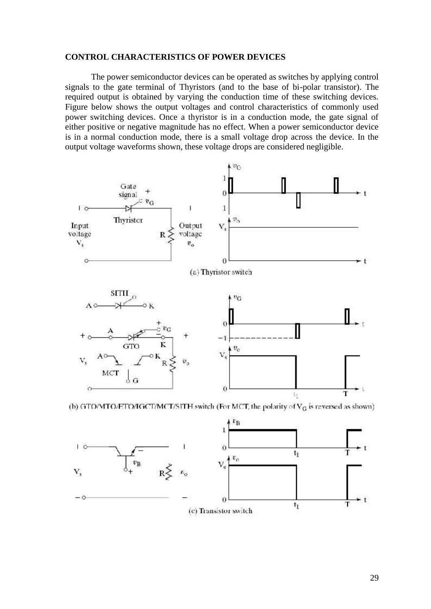#### **CONTROL CHARACTERISTICS OF POWER DEVICES**

The power semiconductor devices can be operated as switches by applying control signals to the gate terminal of Thyristors (and to the base of bi-polar transistor). The required output is obtained by varying the conduction time of these switching devices. Figure below shows the output voltages and control characteristics of commonly used power switching devices. Once a thyristor is in a conduction mode, the gate signal of either positive or negative magnitude has no effect. When a power semiconductor device is in a normal conduction mode, there is a small voltage drop across the device. In the output voltage waveforms shown, these voltage drops are considered negligible.



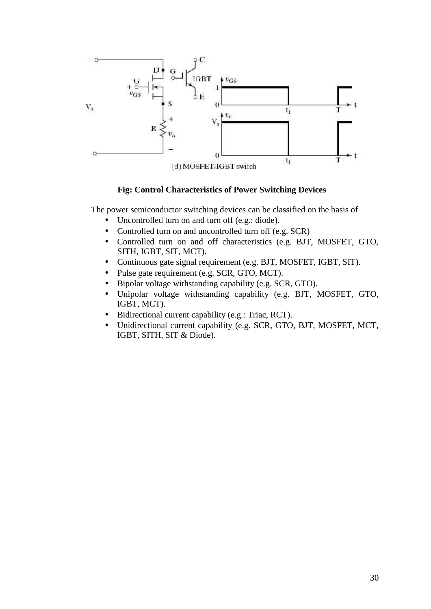

# **Fig: Control Characteristics of Power Switching Devices**

The power semiconductor switching devices can be classified on the basis of

- Uncontrolled turn on and turn off (e.g.: diode).
- Controlled turn on and uncontrolled turn off (e.g. SCR)
- Controlled turn on and off characteristics (e.g. BJT, MOSFET, GTO, SITH, IGBT, SIT, MCT).
- Continuous gate signal requirement (e.g. BJT, MOSFET, IGBT, SIT).
- Pulse gate requirement (e.g. SCR, GTO, MCT).
- Bipolar voltage withstanding capability (e.g. SCR, GTO).
- Unipolar voltage withstanding capability (e.g. BJT, MOSFET, GTO, IGBT, MCT).
- Bidirectional current capability (e.g.: Triac, RCT).
- Unidirectional current capability (e.g. SCR, GTO, BJT, MOSFET, MCT, IGBT, SITH, SIT & Diode).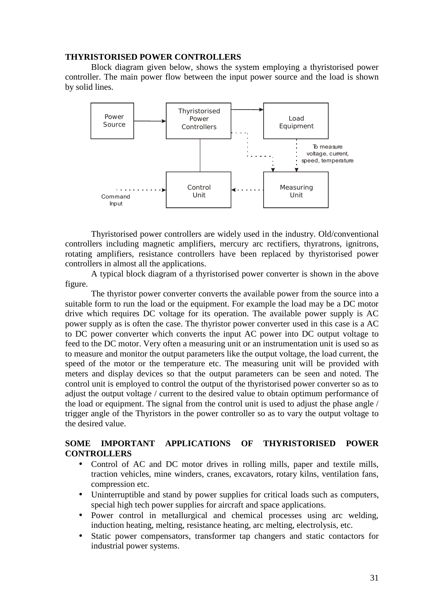#### **THYRISTORISED POWER CONTROLLERS**

Block diagram given below, shows the system employing a thyristorised power controller. The main power flow between the input power source and the load is shown by solid lines.



Thyristorised power controllers are widely used in the industry. Old/conventional controllers including magnetic amplifiers, mercury arc rectifiers, thyratrons, ignitrons, rotating amplifiers, resistance controllers have been replaced by thyristorised power controllers in almost all the applications.

A typical block diagram of a thyristorised power converter is shown in the above figure.

The thyristor power converter converts the available power from the source into a suitable form to run the load or the equipment. For example the load may be a DC motor drive which requires DC voltage for its operation. The available power supply is AC power supply as is often the case. The thyristor power converter used in this case is a AC to DC power converter which converts the input AC power into DC output voltage to feed to the DC motor. Very often a measuring unit or an instrumentation unit is used so as to measure and monitor the output parameters like the output voltage, the load current, the speed of the motor or the temperature etc. The measuring unit will be provided with meters and display devices so that the output parameters can be seen and noted. The control unit is employed to control the output of the thyristorised power converter so as to adjust the output voltage / current to the desired value to obtain optimum performance of the load or equipment. The signal from the control unit is used to adjust the phase angle / trigger angle of the Thyristors in the power controller so as to vary the output voltage to the desired value.

#### **SOME IMPORTANT APPLICATIONS OF THYRISTORISED POWER CONTROLLERS**

- Control of AC and DC motor drives in rolling mills, paper and textile mills, traction vehicles, mine winders, cranes, excavators, rotary kilns, ventilation fans, compression etc.
- Uninterruptible and stand by power supplies for critical loads such as computers, special high tech power supplies for aircraft and space applications.
- Power control in metallurgical and chemical processes using arc welding, induction heating, melting, resistance heating, arc melting, electrolysis, etc.
- Static power compensators, transformer tap changers and static contactors for industrial power systems.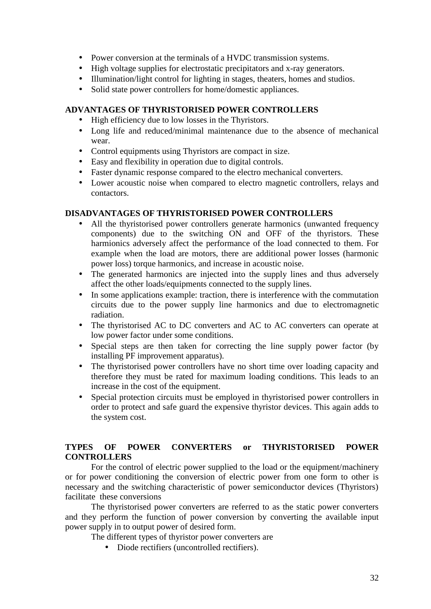- Power conversion at the terminals of a HVDC transmission systems.
- High voltage supplies for electrostatic precipitators and x-ray generators.
- Illumination/light control for lighting in stages, theaters, homes and studios.
- Solid state power controllers for home/domestic appliances.

# **ADVANTAGES OF THYRISTORISED POWER CONTROLLERS**

- High efficiency due to low losses in the Thyristors.
- Long life and reduced/minimal maintenance due to the absence of mechanical wear.
- Control equipments using Thyristors are compact in size.
- Easy and flexibility in operation due to digital controls.
- Faster dynamic response compared to the electro mechanical converters.
- Lower acoustic noise when compared to electro magnetic controllers, relays and contactors.

# **DISADVANTAGES OF THYRISTORISED POWER CONTROLLERS**

- All the thyristorised power controllers generate harmonics (unwanted frequency components) due to the switching ON and OFF of the thyristors. These harmionics adversely affect the performance of the load connected to them. For example when the load are motors, there are additional power losses (harmonic power loss) torque harmonics, and increase in acoustic noise.
- The generated harmonics are injected into the supply lines and thus adversely affect the other loads/equipments connected to the supply lines.
- In some applications example: traction, there is interference with the commutation circuits due to the power supply line harmonics and due to electromagnetic radiation.
- The thyristorised AC to DC converters and AC to AC converters can operate at low power factor under some conditions.
- Special steps are then taken for correcting the line supply power factor (by installing PF improvement apparatus).
- The thyristorised power controllers have no short time over loading capacity and therefore they must be rated for maximum loading conditions. This leads to an increase in the cost of the equipment.
- Special protection circuits must be employed in thyristorised power controllers in order to protect and safe guard the expensive thyristor devices. This again adds to the system cost.

# **TYPES OF POWER CONVERTERS or THYRISTORISED POWER CONTROLLERS**

For the control of electric power supplied to the load or the equipment/machinery or for power conditioning the conversion of electric power from one form to other is necessary and the switching characteristic of power semiconductor devices (Thyristors) facilitate these conversions

The thyristorised power converters are referred to as the static power converters and they perform the function of power conversion by converting the available input power supply in to output power of desired form.

The different types of thyristor power converters are

Diode rectifiers (uncontrolled rectifiers).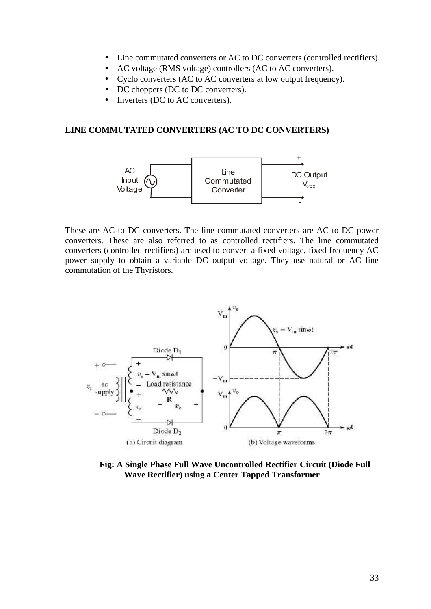- Line commutated converters or AC to DC converters (controlled rectifiers)
- AC voltage (RMS voltage) controllers (AC to AC converters).
- Cyclo converters (AC to AC converters at low output frequency).
- DC choppers (DC to DC converters).
- Inverters (DC to AC converters).

#### **LINE COMMUTATED CONVERTERS (AC TO DC CONVERTERS)**



These are AC to DC converters. The line commutated converters are AC to DC power converters. These are also referred to as controlled rectifiers. The line commutated converters (controlled rectifiers) are used to convert a fixed voltage, fixed frequency AC power supply to obtain a variable DC output voltage. They use natural or AC line commutation of the Thyristors.



**Fig: A Single Phase Full Wave Uncontrolled Rectifier Circuit (Diode Full Wave Rectifier) using a Center Tapped Transformer**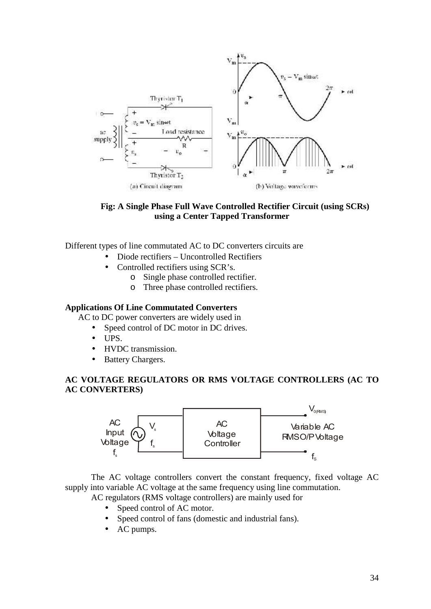



Different types of line commutated AC to DC converters circuits are

- Diode rectifiers Uncontrolled Rectifiers
- Controlled rectifiers using SCR's.
	- o Single phase controlled rectifier.
	- o Three phase controlled rectifiers.

#### **Applications Of Line Commutated Converters**

AC to DC power converters are widely used in

- Speed control of DC motor in DC drives.
- $\bullet$  UPS.
- HVDC transmission.
- Battery Chargers.

# **AC VOLTAGE REGULATORS OR RMS VOLTAGE CONTROLLERS (AC TO AC CONVERTERS)**



The AC voltage controllers convert the constant frequency, fixed voltage AC supply into variable AC voltage at the same frequency using line commutation.

AC regulators (RMS voltage controllers) are mainly used for

- Speed control of AC motor.
- Speed control of fans (domestic and industrial fans).
- AC pumps.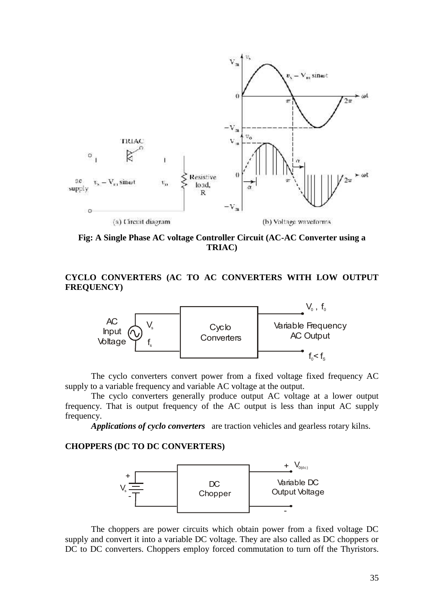

**Fig: A Single Phase AC voltage Controller Circuit (AC-AC Converter using a TRIAC)**

# **CYCLO CONVERTERS (AC TO AC CONVERTERS WITH LOW OUTPUT FREQUENCY)**



The cyclo converters convert power from a fixed voltage fixed frequency AC supply to a variable frequency and variable AC voltage at the output.

The cyclo converters generally produce output AC voltage at a lower output frequency. That is output frequency of the AC output is less than input AC supply frequency.

*Applications of cyclo converters* are traction vehicles and gearless rotary kilns.

#### **CHOPPERS (DC TO DC CONVERTERS)**



The choppers are power circuits which obtain power from a fixed voltage DC supply and convert it into a variable DC voltage. They are also called as DC choppers or DC to DC converters. Choppers employ forced commutation to turn off the Thyristors.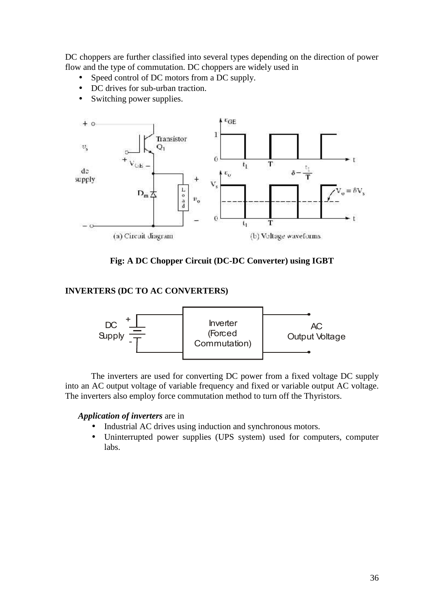DC choppers are further classified into several types depending on the direction of power flow and the type of commutation. DC choppers are widely used in

- Speed control of DC motors from a DC supply.
- DC drives for sub-urban traction.
- Switching power supplies.



**Fig: A DC Chopper Circuit (DC-DC Converter) using IGBT**

# **INVERTERS (DC TO AC CONVERTERS)**



The inverters are used for converting DC power from a fixed voltage DC supply into an AC output voltage of variable frequency and fixed or variable output AC voltage. The inverters also employ force commutation method to turn off the Thyristors.

#### *Application of inverters* are in

- Industrial AC drives using induction and synchronous motors.
- Uninterrupted power supplies (UPS system) used for computers, computer labs.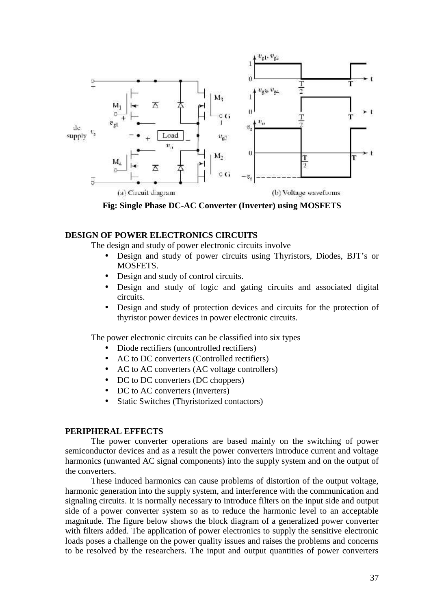

**Fig: Single Phase DC-AC Converter (Inverter) using MOSFETS**

# **DESIGN OF POWER ELECTRONICS CIRCUITS**

The design and study of power electronic circuits involve

- Design and study of power circuits using Thyristors, Diodes, BJT's or MOSFETS.
- Design and study of control circuits.
- Design and study of logic and gating circuits and associated digital circuits.
- Design and study of protection devices and circuits for the protection of thyristor power devices in power electronic circuits.

The power electronic circuits can be classified into six types

- Diode rectifiers (uncontrolled rectifiers)
- AC to DC converters (Controlled rectifiers)
- AC to AC converters (AC voltage controllers)
- DC to DC converters (DC choppers)
- DC to AC converters (Inverters)
- Static Switches (Thyristorized contactors)

#### **PERIPHERAL EFFECTS**

The power converter operations are based mainly on the switching of power semiconductor devices and as a result the power converters introduce current and voltage harmonics (unwanted AC signal components) into the supply system and on the output of the converters.

These induced harmonics can cause problems of distortion of the output voltage, harmonic generation into the supply system, and interference with the communication and signaling circuits. It is normally necessary to introduce filters on the input side and output side of a power converter system so as to reduce the harmonic level to an acceptable magnitude. The figure below shows the block diagram of a generalized power converter with filters added. The application of power electronics to supply the sensitive electronic loads poses a challenge on the power quality issues and raises the problems and concerns to be resolved by the researchers. The input and output quantities of power converters